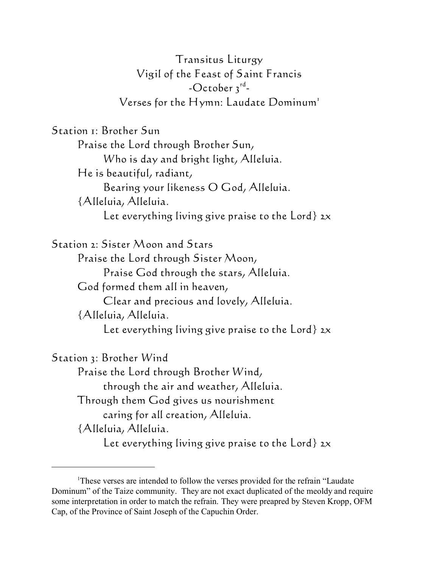Transitus Liturgy Vigil of the Feast of Saint Francis -October  $3^{\text{rd}}$ -Verses for the Hymn: *Laudate Dominum*<sup>1</sup>

Station 1: Brother Sun

Praise the Lord through Brother Sun, Who is day and bright light, Alleluia. He is beautiful, radiant, Bearing your likeness O God, Alleluia. {Alleluia, Alleluia. Let everything living give praise to the Lord} *2x*

Station 2: Sister Moon and Stars Praise the Lord through Sister Moon, Praise God through the stars, Alleluia. God formed them all in heaven, Clear and precious and lovely, Alleluia. {Alleluia, Alleluia. Let everything living give praise to the Lord} *2x*

Station 3: Brother Wind Praise the Lord through Brother Wind, through the air and weather, Alleluia. Through them God gives us nourishment caring for all creation, Alleluia. {Alleluia, Alleluia. Let everything living give praise to the Lord} *2x*

<sup>&</sup>lt;sup>1</sup>These verses are intended to follow the verses provided for the refrain "Laudate" Dominum" of the Taize community. They are not exact duplicated of the meoldy and require some interpretation in order to match the refrain. They were preapred by Steven Kropp, OFM Cap, of the Province of Saint Joseph of the Capuchin Order.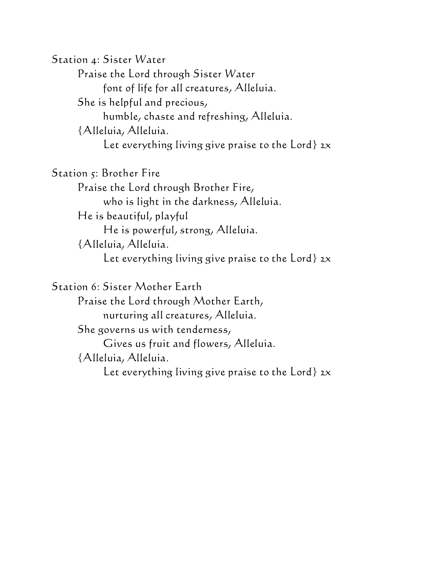Station 4: Sister Water Praise the Lord through Sister Water font of life for all creatures, Alleluia. She is helpful and precious, humble, chaste and refreshing, Alleluia. {Alleluia, Alleluia. Let everything living give praise to the Lord} *2x*

Station 5: Brother Fire Praise the Lord through Brother Fire, who is light in the darkness, Alleluia. He is beautiful, playful He is powerful, strong, Alleluia. {Alleluia, Alleluia. Let everything living give praise to the Lord} *2x*

Station 6: Sister Mother Earth Praise the Lord through Mother Earth, nurturing all creatures, Alleluia. She governs us with tenderness, Gives us fruit and flowers, Alleluia. {Alleluia, Alleluia. Let everything living give praise to the Lord} *2x*